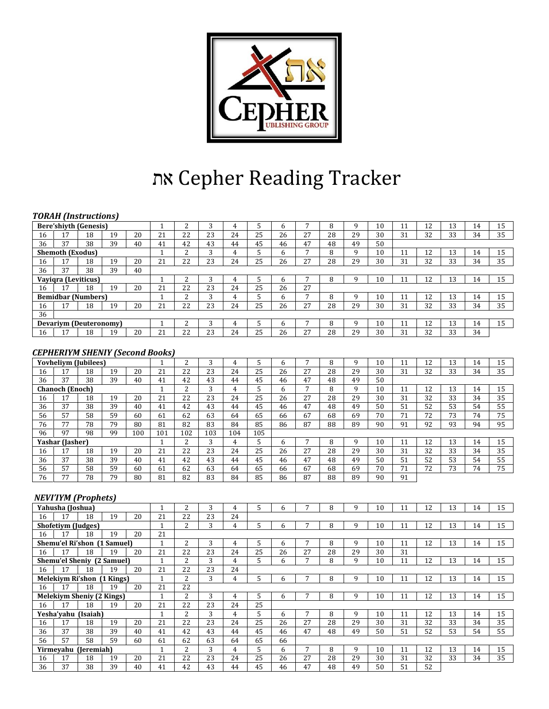

# את Cepher Reading Tracker

#### *TORAH (Instructions)*

|    | TORAH THISU UCUOIIS           |    |    |    |    |              |    |    |    |    |    |    |    |    |    |    |    |    |    |
|----|-------------------------------|----|----|----|----|--------------|----|----|----|----|----|----|----|----|----|----|----|----|----|
|    | <b>Bere'shiyth (Genesis)</b>  |    |    |    |    | ີ            | 3  | 4  |    |    |    | 8  | 9  | 10 | 11 | 12 | 13 | 14 | 15 |
| 16 | 17                            | 18 | 19 | 20 | 21 | 22           | 23 | 24 | 25 | 26 | 27 | 28 | 29 | 30 | 31 | 32 | 33 | 34 | 35 |
| 36 | 37                            | 38 | 39 | 40 | 41 | 42           | 43 | 44 | 45 | 46 | 47 | 48 | 49 | 50 |    |    |    |    |    |
|    | <b>Shemoth (Exodus)</b>       |    |    |    |    | n.<br>z.     | 3  | 4  |    | 6. |    | 8  | 9  | 10 | 11 | 12 | 13 | 14 | 15 |
| 16 | 17                            | 18 | 19 | 20 | 21 | 22           | 23 | 24 | 25 | 26 | 27 | 28 | 29 | 30 | 31 | 32 | 33 | 34 | 35 |
| 36 | 37                            | 38 | 39 | 40 |    |              |    |    |    |    |    |    |    |    |    |    |    |    |    |
|    | Vayigra (Leviticus)           |    |    |    |    | n            | 3  | 4  |    | n  |    | 8  | q  | 10 | 11 | 12 | 13 | 14 | 15 |
| 16 | 17                            | 18 | 19 | 20 | 21 | 22           | 23 | 24 | 25 | 26 | 27 |    |    |    |    |    |    |    |    |
|    | <b>Bemidbar (Numbers)</b>     |    |    |    |    | <sup>1</sup> | 3  | 4  |    | h  |    | 8  | q  | 10 | 11 | 12 | 13 | 14 | 15 |
| 16 | 17                            | 18 | 19 | 20 | 21 | 22           | 23 | 24 | 25 | 26 | 27 | 28 | 29 | 30 | 31 | 32 | 33 | 34 | 35 |
| 36 |                               |    |    |    |    |              |    |    |    |    |    |    |    |    |    |    |    |    |    |
|    | <b>Devariym (Deuteronomy)</b> |    |    |    |    | n            | 3  | 4  |    | h  |    | 8  | 9  | 10 | 11 | 12 | 13 | 14 | 15 |
| 16 | 17                            | 18 | 19 | 20 | 21 | 22           | 23 | 24 | 25 | 26 | 27 | 28 | 29 | 30 | 31 | 32 | 33 | 34 |    |

#### *CEPHERIYM SHENIY (Second Books)*

|    |                        | <b>Yovheliym</b> (Jubilees) |    |     |     | ົ<br>∠ | 3   | 4   |     | h  |    | 8  | 9  | 10 | 11 | 12 | 13 | 14 | 15 |
|----|------------------------|-----------------------------|----|-----|-----|--------|-----|-----|-----|----|----|----|----|----|----|----|----|----|----|
| 16 | 17                     | 18                          | 19 | 20  | 21  | 22     | 23  | 24  | 25  | 26 | 27 | 28 | 29 | 30 | 31 | 32 | 33 | 34 | 35 |
| 36 | 37                     | 38                          | 39 | 40  | 41  | 42     | 43  | 44  | 45  | 46 | 47 | 48 | 49 | 50 |    |    |    |    |    |
|    | <b>Chanoch (Enoch)</b> |                             |    |     |     | ົ      | 3   | 4   |     | h  |    | 8  | 9  | 10 | 11 | 12 | 13 | 14 | 15 |
| 16 | 17                     | 18                          | 19 | 20  | 21  | 22     | 23  | 24  | 25  | 26 | 27 | 28 | 29 | 30 | 31 | 32 | 33 | 34 | 35 |
| 36 | 37                     | 38                          | 39 | 40  | 41  | 42     | 43  | 44  | 45  | 46 | 47 | 48 | 49 | 50 | 51 | 52 | 53 | 54 | 55 |
| 56 | 57                     | 58                          | 59 | 60  | 61  | 62     | 63  | 64  | 65  | 66 | 67 | 68 | 69 | 70 | 71 | 72 | 73 | 74 | 75 |
| 76 | 77                     | 78                          | 79 | 80  | 81  | 82     | 83  | 84  | 85  | 86 | 87 | 88 | 89 | 90 | 91 | 92 | 93 | 94 | 95 |
| 96 | 97                     | 98                          | 99 | 100 | 101 | 102    | 103 | 104 | 105 |    |    |    |    |    |    |    |    |    |    |
|    | Yashar (Jasher)        |                             |    |     |     | ∍      | 3   | 4   |     | h  |    | 8  | 9  | 10 | 11 | 12 | 13 | 14 | 15 |
| 16 | 17                     | 18                          | 19 | 20  | 21  | 22     | 23  | 24  | 25  | 26 | 27 | 28 | 29 | 30 | 31 | 32 | 33 | 34 | 35 |
| 36 | 37                     | 38                          | 39 | 40  | 41  | 42     | 43  | 44  | 45  | 46 | 47 | 48 | 49 | 50 | 51 | 52 | 53 | 54 | 55 |
| 56 | 57                     | 58                          | 59 | 60  | 61  | 62     | 63  | 64  | 65  | 66 | 67 | 68 | 69 | 70 | 71 | 72 | 73 | 74 | 75 |
| 76 | 77                     | 78                          | 79 | 80  | 81  | 82     | 83  | 84  | 85  | 86 | 87 | 88 | 89 | 90 | 91 |    |    |    |    |

## *NEVI'IYM (Prophets)*

|    | Yahusha (Joshua)                  |    |    |    |                      | 2              | 3  | 4  | 5  | 6  |    | 8  | 9  | 10 | 11 | 12 | 13 | 14 | 15 |
|----|-----------------------------------|----|----|----|----------------------|----------------|----|----|----|----|----|----|----|----|----|----|----|----|----|
| 16 | 17                                | 18 | 19 | 20 | 21                   | 22             | 23 | 24 |    |    |    |    |    |    |    |    |    |    |    |
|    | Shofetiym (Judges)                |    |    |    |                      | 2              | 3  | 4  | 5  | 6  |    | 8  | 9  | 10 | 11 | 12 | 13 | 14 | 15 |
| 16 | 17                                | 18 | 19 | 20 | 21                   |                |    |    |    |    |    |    |    |    |    |    |    |    |    |
|    | Shemu'el Ri'shon (1 Samuel)       |    |    |    |                      | 2              | 3  | 4  | 5  | 6  |    | 8  | 9  | 10 | 11 | 12 | 13 | 14 | 15 |
| 16 | 17                                | 18 | 19 | 20 | 21                   | 22             | 23 | 24 | 25 | 26 | 27 | 28 | 29 | 30 | 31 |    |    |    |    |
|    | <b>Shemu'el Sheniy (2 Samuel)</b> |    |    |    | $\blacktriangleleft$ | 2              | 3  | 4  | 5  | 6  | 7  | 8  | 9  | 10 | 11 | 12 | 13 | 14 | 15 |
| 16 | 17                                | 18 | 19 | 20 | 21                   | 22             | 23 | 24 |    |    |    |    |    |    |    |    |    |    |    |
|    | Melekiym Ri'shon (1 Kings)        |    |    |    | $\mathbf{1}$         | $\overline{2}$ | 3  | 4  | 5  | 6  |    | 8  | 9  | 10 | 11 | 12 | 13 | 14 | 15 |
| 16 | 17                                | 18 | 19 | 20 | 21                   | 22             |    |    |    |    |    |    |    |    |    |    |    |    |    |
|    | <b>Melekiym Sheniy (2 Kings)</b>  |    |    |    | $\blacktriangleleft$ | 2              | 3  | 4  | 5  | 6  |    | 8  | 9  | 10 | 11 | 12 | 13 | 14 | 15 |
| 16 | 17                                | 18 | 19 | 20 | 21                   | 22             | 23 | 24 | 25 |    |    |    |    |    |    |    |    |    |    |
|    | Yesha'yahu (Isaiah)               |    |    |    |                      | 2              | 3  | 4  | 5  | 6  | 7  | 8  | 9  | 10 | 11 | 12 | 13 | 14 | 15 |
| 16 | 17                                | 18 | 19 | 20 | 21                   | 22             | 23 | 24 | 25 | 26 | 27 | 28 | 29 | 30 | 31 | 32 | 33 | 34 | 35 |
| 36 | 37                                | 38 | 39 | 40 | 41                   | 42             | 43 | 44 | 45 | 46 | 47 | 48 | 49 | 50 | 51 | 52 | 53 | 54 | 55 |
| 56 | 57                                | 58 | 59 | 60 | 61                   | 62             | 63 | 64 | 65 | 66 |    |    |    |    |    |    |    |    |    |
|    | Yirmeyahu (Jeremiah)              |    |    |    |                      | 2              | 3  | 4  | 5  | 6  | 7  | 8  | 9  | 10 | 11 | 12 | 13 | 14 | 15 |
| 16 | 17                                | 18 | 19 | 20 | 21                   | 22             | 23 | 24 | 25 | 26 | 27 | 28 | 29 | 30 | 31 | 32 | 33 | 34 | 35 |
| 36 | 37                                | 38 | 39 | 40 | 41                   | 42             | 43 | 44 | 45 | 46 | 47 | 48 | 49 | 50 | 51 | 52 |    |    |    |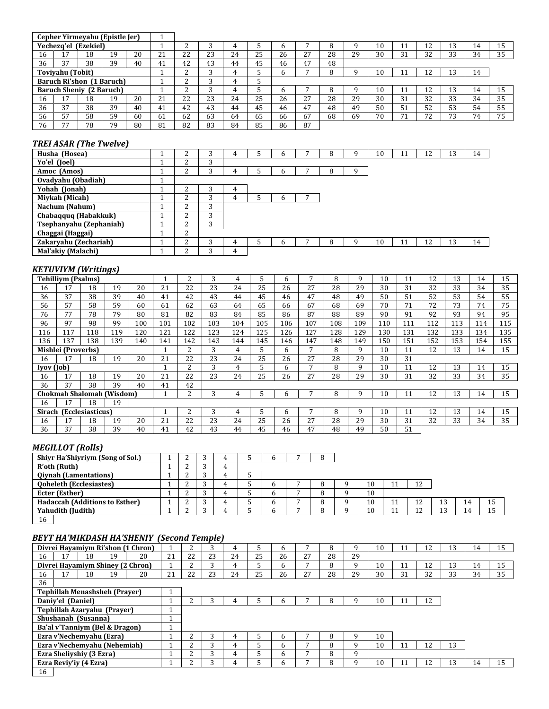|    |                          |           | Cepher Yirmeyahu (Epistle Jer) |    |    |                 |    |    |    |    |           |    |    |    |                           |                  |    |    |    |
|----|--------------------------|-----------|--------------------------------|----|----|-----------------|----|----|----|----|-----------|----|----|----|---------------------------|------------------|----|----|----|
|    | Yecheza'el               | (Ezekiel) |                                |    |    |                 |    |    |    | n  |           | 8  |    | 10 |                           | 12               | 13 | 14 | 15 |
| 16 | 17                       | 18        | 19                             | 20 | 21 | 22              | 23 | 24 | 25 | 26 | 27<br>ر ۽ | 28 | 29 | 30 | 31                        | 32               | 33 | 34 | 35 |
| 36 | 37                       | 38        | 39                             | 40 | 41 | 42              | 43 | 44 | 45 | 46 | 47        | 48 |    |    |                           |                  |    |    |    |
|    | <b>Toviyahu</b> (Tobit)  |           |                                |    |    | $\sqrt{2}$<br>∼ | ົ  | 4  |    | h  | -         | 8  |    | 10 |                           | 12<br>$\pm$ 4    | 13 | 14 |    |
|    |                          |           | Baruch Ri'shon (1 Baruch)      |    |    |                 | ◠  | 4  |    |    |           |    |    |    |                           |                  |    |    |    |
|    | Baruch Sheniy (2 Baruch) |           |                                |    |    | $\sqrt{2}$      | ◠  | 4  |    | n  |           | 8  |    | 10 | ×<br>$\blacktriangleleft$ | 12               | 13 | 14 | 15 |
| 16 |                          | 18        | 19                             | 20 | 21 | 22              | 23 | 24 | 25 | 26 | 27<br>، ے | 28 | 29 | 30 | 31                        | 32               | 33 | 34 | 35 |
| 36 | 37                       | 38        | 39                             | 40 | 41 | 42              | 43 | 44 | 45 | 46 | 47        | 48 | 49 | 50 | 51                        | 52               | 53 | 54 | 55 |
| 56 | 57                       | 58        | 59                             | 60 | 61 | 62              | 63 | 64 | 65 | 66 | 67        | 68 | 69 | 70 | 74                        | 72<br>$\epsilon$ | 73 | 74 | 75 |
| 76 | $\overline{a}$           | 78        | 79                             | 80 | 81 | 82              | 83 | 84 | 85 | 86 | 87        |    |    |    |                           |                  |    |    |    |

### *TREI ASAR (The Twelve)*

| Husha (Hosea)           |  |   |   | h            |   | q | 10 | 11 | 12 | 13 | 14 |
|-------------------------|--|---|---|--------------|---|---|----|----|----|----|----|
| Yo'el (Joel)            |  | 3 |   |              |   |   |    |    |    |    |    |
| Amoc (Amos)             |  |   |   | b            | 8 | 9 |    |    |    |    |    |
| Ovadyahu (Obadiah)      |  |   |   |              |   |   |    |    |    |    |    |
| Yohah (Jonah)           |  | 3 | 4 |              |   |   |    |    |    |    |    |
| Miykah (Micah)          |  | 3 |   | <sub>b</sub> |   |   |    |    |    |    |    |
| Nachum (Nahum)          |  | 3 |   |              |   |   |    |    |    |    |    |
| Chabaqquq (Habakkuk)    |  | 3 |   |              |   |   |    |    |    |    |    |
| Tsephanyahu (Zephaniah) |  | 3 |   |              |   |   |    |    |    |    |    |
| Chaggai (Haggai)        |  |   |   |              |   |   |    |    |    |    |    |
| Zakaryahu (Zechariah)   |  |   |   | h            |   | q | 10 | 11 | 12 | 13 | 14 |
| Mal'akiy (Malachi)      |  | 3 | 4 |              |   |   |    |    |    |    |    |

## *KETUVIYM (Writings)*

|            | <b>Tehilliym</b> (Psalms)        |                  |     |     |     | 2   | 3   | 4   | 5   | 6   | ⇁   | 8   | 9   | 10  | 11  | 12  | 13  | 14  | 15  |
|------------|----------------------------------|------------------|-----|-----|-----|-----|-----|-----|-----|-----|-----|-----|-----|-----|-----|-----|-----|-----|-----|
| 16         | 17                               | 18               | 19  | 20  | 21  | 22  | 23  | 24  | 25  | 26  | 27  | 28  | 29  | 30  | 31  | 32  | 33  | 34  | 35  |
| 36         | 37                               | 38               | 39  | 40  | 41  | 42  | 43  | 44  | 45  | 46  | 47  | 48  | 49  | 50  | 51  | 52  | 53  | 54  | 55  |
| 56         | 57                               | 58               | 59  | 60  | 61  | 62  | 63  | 64  | 65  | 66  | 67  | 68  | 69  | 70  | 71  | 72  | 73  | 74  | 75  |
| 76         | 77                               | 78               | 79  | 80  | 81  | 82  | 83  | 84  | 85  | 86  | 87  | 88  | 89  | 90  | 91  | 92  | 93  | 94  | 95  |
| 96         | 97                               | 98               | 99  | 100 | 101 | 102 | 103 | 104 | 105 | 106 | 107 | 108 | 109 | 110 | 111 | 112 | 113 | 114 | 115 |
| 116        | 117                              | 118              | 119 | 120 | 121 | 122 | 123 | 124 | 125 | 126 | 127 | 128 | 129 | 130 | 131 | 132 | 133 | 134 | 135 |
| 136        | 137                              | 138              | 139 | 140 | 141 | 142 | 143 | 144 | 145 | 146 | 147 | 148 | 149 | 150 | 151 | 152 | 153 | 154 | 155 |
|            | <b>Mishlei (Proverbs)</b>        |                  |     |     |     | 2   | 3   | 4   | 5   | 6   | 7   | 8   | 9   | 10  | 11  | 12  | 13  | 14  | 15  |
| 16         | 17                               | 18               | 19  | 20  | 21  | 22  | 23  | 24  | 25  | 26  | 27  | 28  | 29  | 30  | 31  |     |     |     |     |
| Iyov (Job) |                                  |                  |     |     |     | 2   | 3   | 4   | 5   | 6   | ⇁   | 8   | 9   | 10  | 11  | 12  | 13  | 14  | 15  |
| 16         | 17                               | 18               | 19  | 20  | 21  | 22  | 23  | 24  | 25  | 26  | 27  | 28  | 29  | 30  | 31  | 32  | 33  | 34  | 35  |
| 36         | 37                               | 38               | 39  | 40  | 41  | 42  |     |     |     |     |     |     |     |     |     |     |     |     |     |
|            | <b>Chokmah Shalomah (Wisdom)</b> |                  |     |     |     | 2   |     | 4   | 5   | 6   |     | 8   | 9   | 10  | 11  | 12  | 13  | 14  | 15  |
| 16         | 17                               | 18               | 19  |     |     |     |     |     |     |     |     |     |     |     |     |     |     |     |     |
| Sirach     |                                  | (Ecclesiasticus) |     |     |     | 2   |     | 4   | 5   | 6   |     | 8   | 9   | 10  | 11  | 12  | 13  | 14  | 15  |
| 16         | 17                               | 18               | 19  | 20  | 21  | 22  | 23  | 24  | 25  | 26  | 27  | 28  | 29  | 30  | 31  | 32  | 33  | 34  | 35  |
| 36         | 37                               | 38               | 39  | 40  | 41  | 42  | 43  | 44  | 45  | 46  | 47  | 48  | 49  | 50  | 51  |     |     |     |     |

#### *MEGILLOT (Rolls)*

| <b>Shiyr Ha'Shiyriym (Song of Sol.)</b> |  | 4        | b |  |    |    |    |    |    |
|-----------------------------------------|--|----------|---|--|----|----|----|----|----|
| R'oth (Ruth)                            |  | 4        |   |  |    |    |    |    |    |
| <b>Qiynah (Lamentations)</b>            |  | 4        |   |  |    |    |    |    |    |
| <b>Qoheleth (Ecclesiastes)</b>          |  | 4        | b |  | 10 |    | 12 |    |    |
| Ecter (Esther)                          |  | 4        | b |  | 10 |    |    |    |    |
| <b>Hadaccah (Additions to Esther)</b>   |  | 4        | b |  | 10 | ┸┸ | 12 | 14 | 15 |
| Yahudith (Judith)                       |  | $\Delta$ | b |  | 10 |    | 12 | 14 | 15 |
| 16                                      |  |          |   |  |    |    |    |    |    |

#### *BEYT HA'MIKDASH HA'SHENIY (Second Temple)*

|                |                          |    |                                      | Divrei Havamiym Ri'shon (1 Chron) |    |    |    |    |    | n  |    | 8  | 9  | 10 |    | 12 | 13 | 14 | 15 |
|----------------|--------------------------|----|--------------------------------------|-----------------------------------|----|----|----|----|----|----|----|----|----|----|----|----|----|----|----|
| 16             | 17                       | 18 | 19                                   | 20                                | 21 | 22 | 23 | 24 | 25 | 26 | 27 | 28 | 29 |    |    |    |    |    |    |
|                |                          |    |                                      | Divrei Havamiym Shiney (2 Chron)  |    | n  |    | 4  |    | h. |    | 8  | 9  | 10 | 11 | 12 | 13 | 14 | 15 |
| 16             | 17                       | 18 | 19                                   | 20                                | 21 | 22 | 23 | 24 | 25 | 26 | 27 | 28 | 29 | 30 | 31 | 32 | 33 | 34 | 35 |
| 36             |                          |    |                                      |                                   |    |    |    |    |    |    |    |    |    |    |    |    |    |    |    |
|                |                          |    | <b>Tephillah Menashsheh (Prayer)</b> |                                   |    |    |    |    |    |    |    |    |    |    |    |    |    |    |    |
|                | Daniy'el (Daniel)        |    |                                      |                                   |    |    |    |    |    | h. |    | 8  | 9  | 10 |    | 12 |    |    |    |
|                |                          |    | Tephillah Azaryahu (Prayer)          |                                   |    |    |    |    |    |    |    |    |    |    |    |    |    |    |    |
|                | Shushanah (Susanna)      |    |                                      |                                   |    |    |    |    |    |    |    |    |    |    |    |    |    |    |    |
|                |                          |    | Ba'al v'Tanniym (Bel & Dragon)       |                                   |    |    |    |    |    |    |    |    |    |    |    |    |    |    |    |
|                | Ezra v'Nechemyahu (Ezra) |    |                                      |                                   |    |    |    | 4  |    | h  |    | 8  | 9  | 10 |    |    |    |    |    |
|                |                          |    | Ezra v'Nechemyahu (Nehemiah)         |                                   |    | n  |    | 4  |    | 6  |    | 8  | 9  | 10 | 11 | 12 | 13 |    |    |
|                | Ezra Sheliyshiy (3 Ezra) |    |                                      |                                   |    | n  |    | 4  |    | 6. |    | 8  | 9  |    |    |    |    |    |    |
|                | Ezra Reviy'iy (4 Ezra)   |    |                                      |                                   |    |    |    |    |    | h. |    | 8  | 9  | 10 | 11 | 12 | 13 | 14 | 15 |
| 1 <sup>C</sup> |                          |    |                                      |                                   |    |    |    |    |    |    |    |    |    |    |    |    |    |    |    |